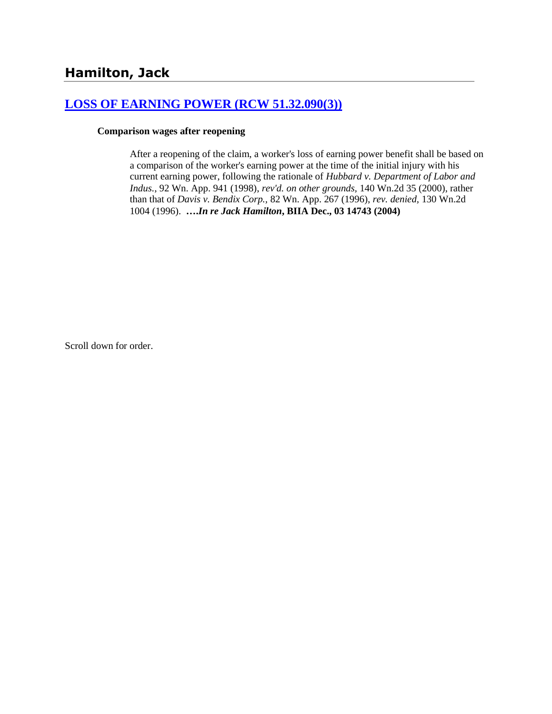# **[LOSS OF EARNING POWER \(RCW 51.32.090\(3\)\)](http://www.biia.wa.gov/SDSubjectIndex.html#LOSS_OF_EARNING_POWER)**

#### **Comparison wages after reopening**

After a reopening of the claim, a worker's loss of earning power benefit shall be based on a comparison of the worker's earning power at the time of the initial injury with his current earning power, following the rationale of *Hubbard v. Department of Labor and Indus.*, 92 Wn. App. 941 (1998), *rev'd. on other grounds,* 140 Wn.2d 35 (2000), rather than that of *Davis v. Bendix Corp.,* 82 Wn. App. 267 (1996), *rev. denied,* 130 Wn.2d 1004 (1996). **….***In re Jack Hamilton***, BIIA Dec., 03 14743 (2004)**

Scroll down for order.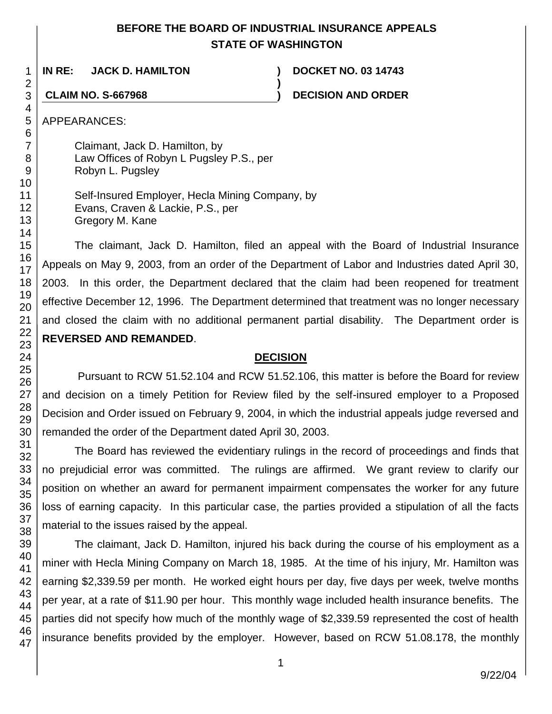# **BEFORE THE BOARD OF INDUSTRIAL INSURANCE APPEALS STATE OF WASHINGTON**

**)**

**IN RE: JACK D. HAMILTON ) DOCKET NO. 03 14743**

**CLAIM NO. S-667968 ) DECISION AND ORDER**

APPEARANCES:

Claimant, Jack D. Hamilton, by Law Offices of Robyn L Pugsley P.S., per Robyn L. Pugsley

Self-Insured Employer, Hecla Mining Company, by Evans, Craven & Lackie, P.S., per Gregory M. Kane

The claimant, Jack D. Hamilton, filed an appeal with the Board of Industrial Insurance Appeals on May 9, 2003, from an order of the Department of Labor and Industries dated April 30, 2003. In this order, the Department declared that the claim had been reopened for treatment effective December 12, 1996. The Department determined that treatment was no longer necessary and closed the claim with no additional permanent partial disability. The Department order is **REVERSED AND REMANDED**.

## **DECISION**

Pursuant to RCW 51.52.104 and RCW 51.52.106, this matter is before the Board for review and decision on a timely Petition for Review filed by the self-insured employer to a Proposed Decision and Order issued on February 9, 2004, in which the industrial appeals judge reversed and remanded the order of the Department dated April 30, 2003.

The Board has reviewed the evidentiary rulings in the record of proceedings and finds that no prejudicial error was committed. The rulings are affirmed. We grant review to clarify our position on whether an award for permanent impairment compensates the worker for any future loss of earning capacity. In this particular case, the parties provided a stipulation of all the facts material to the issues raised by the appeal.

The claimant, Jack D. Hamilton, injured his back during the course of his employment as a miner with Hecla Mining Company on March 18, 1985. At the time of his injury, Mr. Hamilton was earning \$2,339.59 per month. He worked eight hours per day, five days per week, twelve months per year, at a rate of \$11.90 per hour. This monthly wage included health insurance benefits. The parties did not specify how much of the monthly wage of \$2,339.59 represented the cost of health insurance benefits provided by the employer. However, based on RCW 51.08.178, the monthly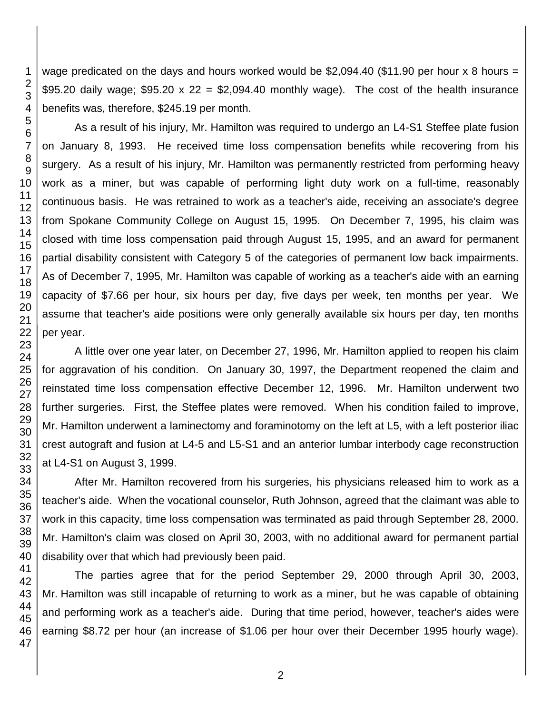wage predicated on the days and hours worked would be \$2,094.40 (\$11.90 per hour x 8 hours  $=$ \$95.20 daily wage; \$95.20 x 22 = \$2,094.40 monthly wage). The cost of the health insurance benefits was, therefore, \$245.19 per month.

As a result of his injury, Mr. Hamilton was required to undergo an L4-S1 Steffee plate fusion on January 8, 1993. He received time loss compensation benefits while recovering from his surgery. As a result of his injury, Mr. Hamilton was permanently restricted from performing heavy work as a miner, but was capable of performing light duty work on a full-time, reasonably continuous basis. He was retrained to work as a teacher's aide, receiving an associate's degree from Spokane Community College on August 15, 1995. On December 7, 1995, his claim was closed with time loss compensation paid through August 15, 1995, and an award for permanent partial disability consistent with Category 5 of the categories of permanent low back impairments. As of December 7, 1995, Mr. Hamilton was capable of working as a teacher's aide with an earning capacity of \$7.66 per hour, six hours per day, five days per week, ten months per year. We assume that teacher's aide positions were only generally available six hours per day, ten months per year.

A little over one year later, on December 27, 1996, Mr. Hamilton applied to reopen his claim for aggravation of his condition. On January 30, 1997, the Department reopened the claim and reinstated time loss compensation effective December 12, 1996. Mr. Hamilton underwent two further surgeries. First, the Steffee plates were removed. When his condition failed to improve, Mr. Hamilton underwent a laminectomy and foraminotomy on the left at L5, with a left posterior iliac crest autograft and fusion at L4-5 and L5-S1 and an anterior lumbar interbody cage reconstruction at L4-S1 on August 3, 1999.

After Mr. Hamilton recovered from his surgeries, his physicians released him to work as a teacher's aide. When the vocational counselor, Ruth Johnson, agreed that the claimant was able to work in this capacity, time loss compensation was terminated as paid through September 28, 2000. Mr. Hamilton's claim was closed on April 30, 2003, with no additional award for permanent partial disability over that which had previously been paid.

The parties agree that for the period September 29, 2000 through April 30, 2003, Mr. Hamilton was still incapable of returning to work as a miner, but he was capable of obtaining and performing work as a teacher's aide. During that time period, however, teacher's aides were earning \$8.72 per hour (an increase of \$1.06 per hour over their December 1995 hourly wage).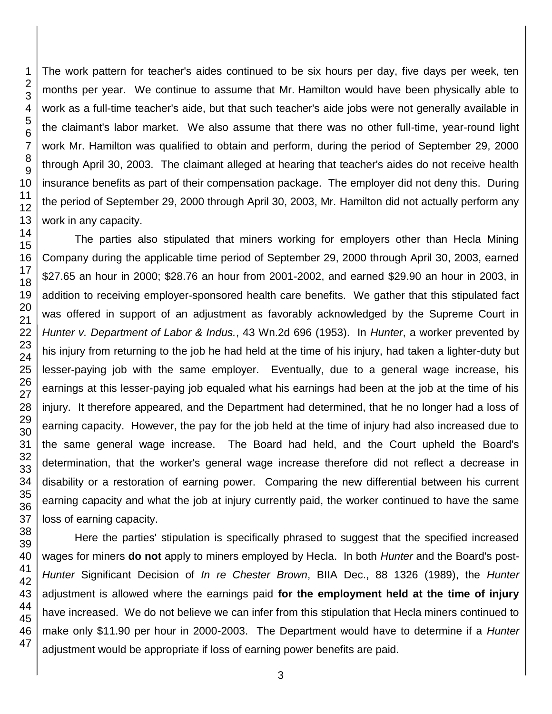The work pattern for teacher's aides continued to be six hours per day, five days per week, ten months per year. We continue to assume that Mr. Hamilton would have been physically able to work as a full-time teacher's aide, but that such teacher's aide jobs were not generally available in the claimant's labor market. We also assume that there was no other full-time, year-round light work Mr. Hamilton was qualified to obtain and perform, during the period of September 29, 2000 through April 30, 2003. The claimant alleged at hearing that teacher's aides do not receive health insurance benefits as part of their compensation package. The employer did not deny this. During the period of September 29, 2000 through April 30, 2003, Mr. Hamilton did not actually perform any work in any capacity.

The parties also stipulated that miners working for employers other than Hecla Mining Company during the applicable time period of September 29, 2000 through April 30, 2003, earned \$27.65 an hour in 2000; \$28.76 an hour from 2001-2002, and earned \$29.90 an hour in 2003, in addition to receiving employer-sponsored health care benefits. We gather that this stipulated fact was offered in support of an adjustment as favorably acknowledged by the Supreme Court in *Hunter v. Department of Labor & Indus.*, 43 Wn.2d 696 (1953). In *Hunter*, a worker prevented by his injury from returning to the job he had held at the time of his injury, had taken a lighter-duty but lesser-paying job with the same employer. Eventually, due to a general wage increase, his earnings at this lesser-paying job equaled what his earnings had been at the job at the time of his injury. It therefore appeared, and the Department had determined, that he no longer had a loss of earning capacity. However, the pay for the job held at the time of injury had also increased due to the same general wage increase. The Board had held, and the Court upheld the Board's determination, that the worker's general wage increase therefore did not reflect a decrease in disability or a restoration of earning power. Comparing the new differential between his current earning capacity and what the job at injury currently paid, the worker continued to have the same loss of earning capacity.

Here the parties' stipulation is specifically phrased to suggest that the specified increased wages for miners **do not** apply to miners employed by Hecla. In both *Hunter* and the Board's post-*Hunter* Significant Decision of *In re Chester Brown*, BIIA Dec., 88 1326 (1989), the *Hunter* adjustment is allowed where the earnings paid **for the employment held at the time of injury** have increased. We do not believe we can infer from this stipulation that Hecla miners continued to make only \$11.90 per hour in 2000-2003. The Department would have to determine if a *Hunter* adjustment would be appropriate if loss of earning power benefits are paid.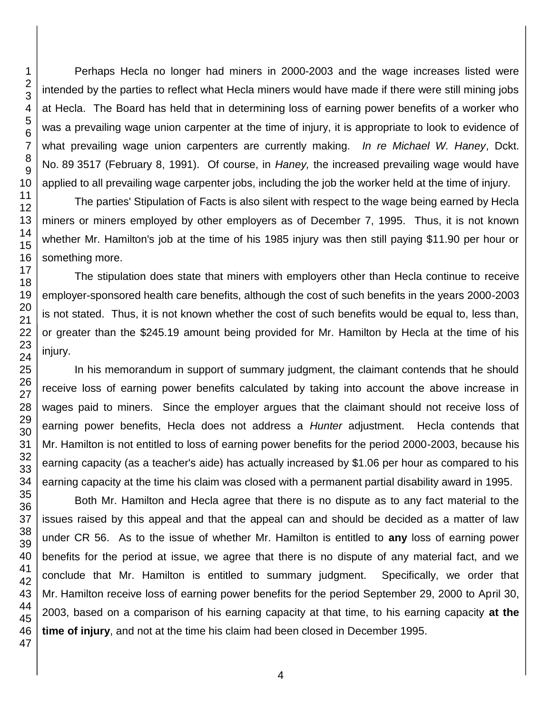Perhaps Hecla no longer had miners in 2000-2003 and the wage increases listed were intended by the parties to reflect what Hecla miners would have made if there were still mining jobs at Hecla. The Board has held that in determining loss of earning power benefits of a worker who was a prevailing wage union carpenter at the time of injury, it is appropriate to look to evidence of what prevailing wage union carpenters are currently making. *In re Michael W. Haney*, Dckt. No. 89 3517 (February 8, 1991). Of course, in *Haney,* the increased prevailing wage would have applied to all prevailing wage carpenter jobs, including the job the worker held at the time of injury.

The parties' Stipulation of Facts is also silent with respect to the wage being earned by Hecla miners or miners employed by other employers as of December 7, 1995. Thus, it is not known whether Mr. Hamilton's job at the time of his 1985 injury was then still paying \$11.90 per hour or something more.

The stipulation does state that miners with employers other than Hecla continue to receive employer-sponsored health care benefits, although the cost of such benefits in the years 2000-2003 is not stated. Thus, it is not known whether the cost of such benefits would be equal to, less than, or greater than the \$245.19 amount being provided for Mr. Hamilton by Hecla at the time of his injury.

In his memorandum in support of summary judgment, the claimant contends that he should receive loss of earning power benefits calculated by taking into account the above increase in wages paid to miners. Since the employer argues that the claimant should not receive loss of earning power benefits, Hecla does not address a *Hunter* adjustment. Hecla contends that Mr. Hamilton is not entitled to loss of earning power benefits for the period 2000-2003, because his earning capacity (as a teacher's aide) has actually increased by \$1.06 per hour as compared to his earning capacity at the time his claim was closed with a permanent partial disability award in 1995.

Both Mr. Hamilton and Hecla agree that there is no dispute as to any fact material to the issues raised by this appeal and that the appeal can and should be decided as a matter of law under CR 56. As to the issue of whether Mr. Hamilton is entitled to **any** loss of earning power benefits for the period at issue, we agree that there is no dispute of any material fact, and we conclude that Mr. Hamilton is entitled to summary judgment. Specifically, we order that Mr. Hamilton receive loss of earning power benefits for the period September 29, 2000 to April 30, 2003, based on a comparison of his earning capacity at that time, to his earning capacity **at the time of injury**, and not at the time his claim had been closed in December 1995.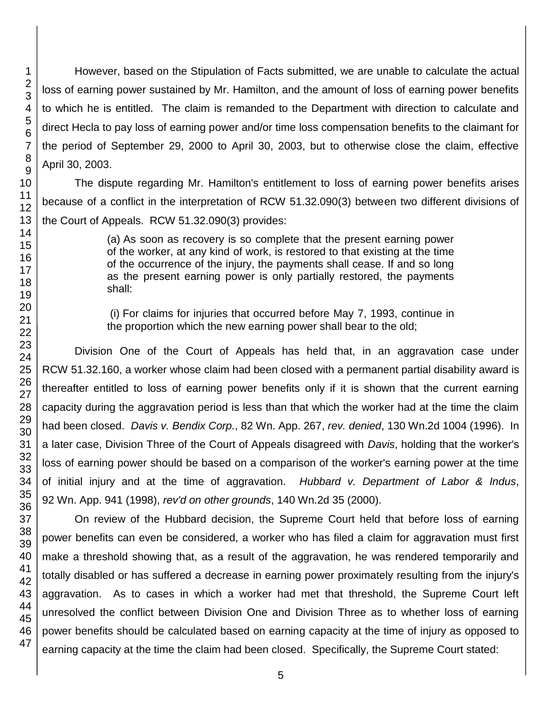However, based on the Stipulation of Facts submitted, we are unable to calculate the actual loss of earning power sustained by Mr. Hamilton, and the amount of loss of earning power benefits to which he is entitled. The claim is remanded to the Department with direction to calculate and direct Hecla to pay loss of earning power and/or time loss compensation benefits to the claimant for the period of September 29, 2000 to April 30, 2003, but to otherwise close the claim, effective April 30, 2003.

The dispute regarding Mr. Hamilton's entitlement to loss of earning power benefits arises because of a conflict in the interpretation of RCW 51.32.090(3) between two different divisions of the Court of Appeals. RCW 51.32.090(3) provides:

> (a) As soon as recovery is so complete that the present earning power of the worker, at any kind of work, is restored to that existing at the time of the occurrence of the injury, the payments shall cease. If and so long as the present earning power is only partially restored, the payments shall:

> (i) For claims for injuries that occurred before May 7, 1993, continue in the proportion which the new earning power shall bear to the old;

Division One of the Court of Appeals has held that, in an aggravation case under RCW 51.32.160, a worker whose claim had been closed with a permanent partial disability award is thereafter entitled to loss of earning power benefits only if it is shown that the current earning capacity during the aggravation period is less than that which the worker had at the time the claim had been closed. *Davis v. Bendix Corp.*, 82 Wn. App. 267, *rev. denied*, 130 Wn.2d 1004 (1996). In a later case, Division Three of the Court of Appeals disagreed with *Davis*, holding that the worker's loss of earning power should be based on a comparison of the worker's earning power at the time of initial injury and at the time of aggravation. *Hubbard v. Department of Labor & Indus*, Wn. App. 941 (1998), *rev'd on other grounds*, 140 Wn.2d 35 (2000).

On review of the Hubbard decision, the Supreme Court held that before loss of earning power benefits can even be considered, a worker who has filed a claim for aggravation must first make a threshold showing that, as a result of the aggravation, he was rendered temporarily and totally disabled or has suffered a decrease in earning power proximately resulting from the injury's aggravation. As to cases in which a worker had met that threshold, the Supreme Court left unresolved the conflict between Division One and Division Three as to whether loss of earning power benefits should be calculated based on earning capacity at the time of injury as opposed to earning capacity at the time the claim had been closed. Specifically, the Supreme Court stated: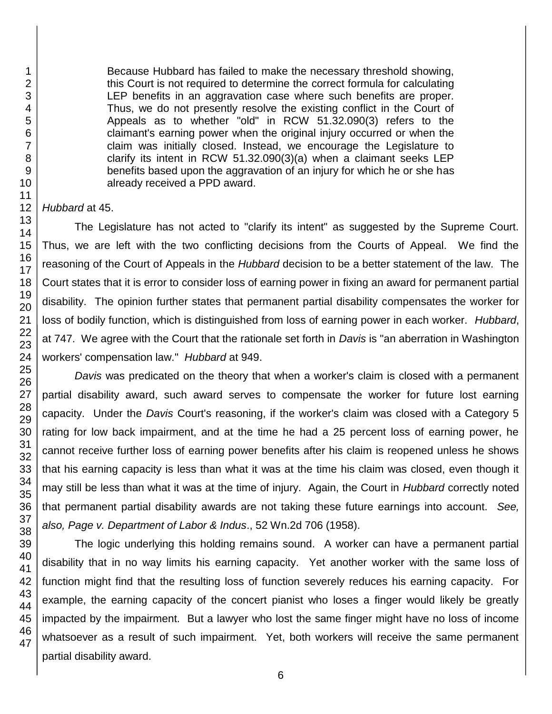Because Hubbard has failed to make the necessary threshold showing, this Court is not required to determine the correct formula for calculating LEP benefits in an aggravation case where such benefits are proper. Thus, we do not presently resolve the existing conflict in the Court of Appeals as to whether "old" in RCW 51.32.090(3) refers to the claimant's earning power when the original injury occurred or when the claim was initially closed. Instead, we encourage the Legislature to clarify its intent in RCW 51.32.090(3)(a) when a claimant seeks LEP benefits based upon the aggravation of an injury for which he or she has already received a PPD award.

#### *Hubbard* at 45.

The Legislature has not acted to "clarify its intent" as suggested by the Supreme Court. Thus, we are left with the two conflicting decisions from the Courts of Appeal. We find the reasoning of the Court of Appeals in the *Hubbard* decision to be a better statement of the law. The Court states that it is error to consider loss of earning power in fixing an award for permanent partial disability. The opinion further states that permanent partial disability compensates the worker for loss of bodily function, which is distinguished from loss of earning power in each worker. *Hubbard*, at 747. We agree with the Court that the rationale set forth in *Davis* is "an aberration in Washington workers' compensation law." *Hubbard* at 949.

*Davis* was predicated on the theory that when a worker's claim is closed with a permanent partial disability award, such award serves to compensate the worker for future lost earning capacity. Under the *Davis* Court's reasoning, if the worker's claim was closed with a Category 5 rating for low back impairment, and at the time he had a 25 percent loss of earning power, he cannot receive further loss of earning power benefits after his claim is reopened unless he shows that his earning capacity is less than what it was at the time his claim was closed, even though it may still be less than what it was at the time of injury. Again, the Court in *Hubbard* correctly noted that permanent partial disability awards are not taking these future earnings into account. *See, also, Page v. Department of Labor & Indus*., 52 Wn.2d 706 (1958).

The logic underlying this holding remains sound. A worker can have a permanent partial disability that in no way limits his earning capacity. Yet another worker with the same loss of function might find that the resulting loss of function severely reduces his earning capacity. For example, the earning capacity of the concert pianist who loses a finger would likely be greatly impacted by the impairment. But a lawyer who lost the same finger might have no loss of income whatsoever as a result of such impairment. Yet, both workers will receive the same permanent partial disability award.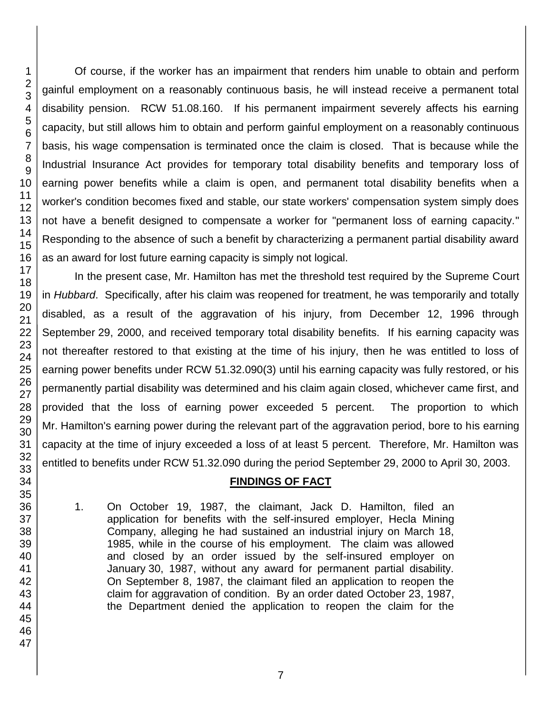Of course, if the worker has an impairment that renders him unable to obtain and perform gainful employment on a reasonably continuous basis, he will instead receive a permanent total disability pension. RCW 51.08.160. If his permanent impairment severely affects his earning capacity, but still allows him to obtain and perform gainful employment on a reasonably continuous basis, his wage compensation is terminated once the claim is closed. That is because while the Industrial Insurance Act provides for temporary total disability benefits and temporary loss of earning power benefits while a claim is open, and permanent total disability benefits when a worker's condition becomes fixed and stable, our state workers' compensation system simply does not have a benefit designed to compensate a worker for "permanent loss of earning capacity." Responding to the absence of such a benefit by characterizing a permanent partial disability award as an award for lost future earning capacity is simply not logical.

In the present case, Mr. Hamilton has met the threshold test required by the Supreme Court in *Hubbard*. Specifically, after his claim was reopened for treatment, he was temporarily and totally disabled, as a result of the aggravation of his injury, from December 12, 1996 through September 29, 2000, and received temporary total disability benefits. If his earning capacity was not thereafter restored to that existing at the time of his injury, then he was entitled to loss of earning power benefits under RCW 51.32.090(3) until his earning capacity was fully restored, or his permanently partial disability was determined and his claim again closed, whichever came first, and provided that the loss of earning power exceeded 5 percent. The proportion to which Mr. Hamilton's earning power during the relevant part of the aggravation period, bore to his earning capacity at the time of injury exceeded a loss of at least 5 percent. Therefore, Mr. Hamilton was entitled to benefits under RCW 51.32.090 during the period September 29, 2000 to April 30, 2003.

#### **FINDINGS OF FACT**

1. On October 19, 1987, the claimant, Jack D. Hamilton, filed an application for benefits with the self-insured employer, Hecla Mining Company, alleging he had sustained an industrial injury on March 18, 1985, while in the course of his employment. The claim was allowed and closed by an order issued by the self-insured employer on January 30, 1987, without any award for permanent partial disability. On September 8, 1987, the claimant filed an application to reopen the claim for aggravation of condition. By an order dated October 23, 1987, the Department denied the application to reopen the claim for the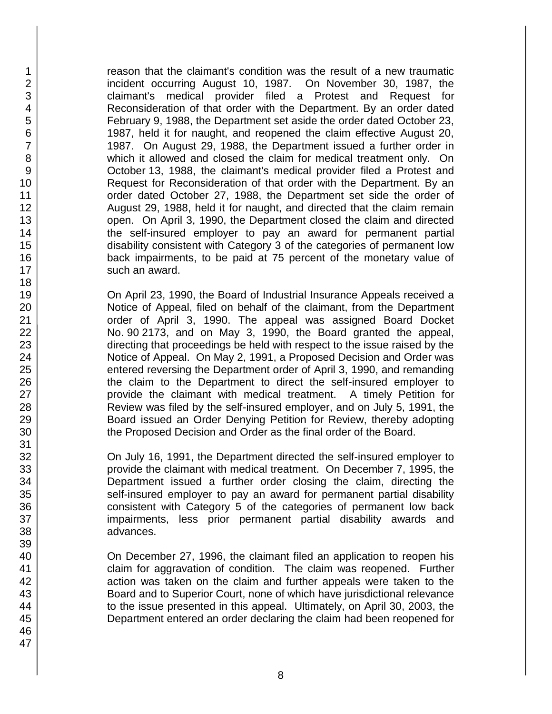reason that the claimant's condition was the result of a new traumatic incident occurring August 10, 1987. On November 30, 1987, the claimant's medical provider filed a Protest and Request for Reconsideration of that order with the Department. By an order dated February 9, 1988, the Department set aside the order dated October 23, 1987, held it for naught, and reopened the claim effective August 20, 1987. On August 29, 1988, the Department issued a further order in which it allowed and closed the claim for medical treatment only. On October 13, 1988, the claimant's medical provider filed a Protest and Request for Reconsideration of that order with the Department. By an order dated October 27, 1988, the Department set side the order of August 29, 1988, held it for naught, and directed that the claim remain open. On April 3, 1990, the Department closed the claim and directed the self-insured employer to pay an award for permanent partial disability consistent with Category 3 of the categories of permanent low back impairments, to be paid at 75 percent of the monetary value of such an award.

On April 23, 1990, the Board of Industrial Insurance Appeals received a Notice of Appeal, filed on behalf of the claimant, from the Department order of April 3, 1990. The appeal was assigned Board Docket No. 90 2173, and on May 3, 1990, the Board granted the appeal, directing that proceedings be held with respect to the issue raised by the Notice of Appeal. On May 2, 1991, a Proposed Decision and Order was entered reversing the Department order of April 3, 1990, and remanding the claim to the Department to direct the self-insured employer to provide the claimant with medical treatment. A timely Petition for Review was filed by the self-insured employer, and on July 5, 1991, the Board issued an Order Denying Petition for Review, thereby adopting the Proposed Decision and Order as the final order of the Board.

On July 16, 1991, the Department directed the self-insured employer to provide the claimant with medical treatment. On December 7, 1995, the Department issued a further order closing the claim, directing the self-insured employer to pay an award for permanent partial disability consistent with Category 5 of the categories of permanent low back impairments, less prior permanent partial disability awards and advances.

On December 27, 1996, the claimant filed an application to reopen his claim for aggravation of condition. The claim was reopened. Further action was taken on the claim and further appeals were taken to the Board and to Superior Court, none of which have jurisdictional relevance to the issue presented in this appeal. Ultimately, on April 30, 2003, the Department entered an order declaring the claim had been reopened for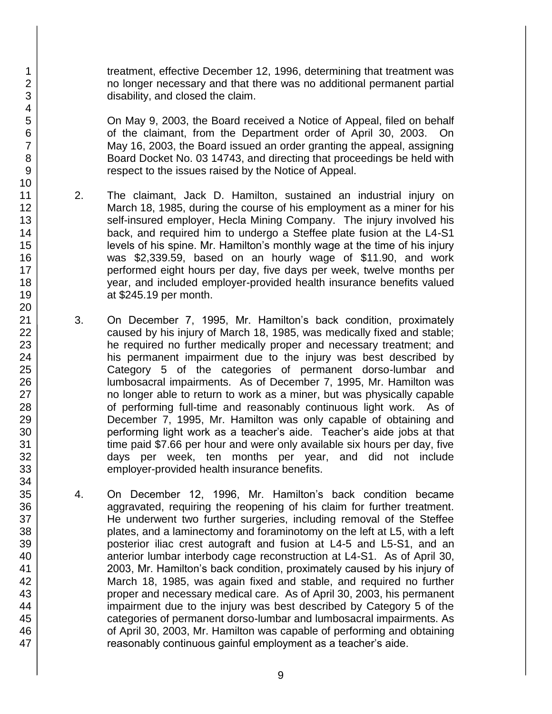treatment, effective December 12, 1996, determining that treatment was no longer necessary and that there was no additional permanent partial disability, and closed the claim.

On May 9, 2003, the Board received a Notice of Appeal, filed on behalf of the claimant, from the Department order of April 30, 2003. On May 16, 2003, the Board issued an order granting the appeal, assigning Board Docket No. 03 14743, and directing that proceedings be held with respect to the issues raised by the Notice of Appeal.

- 2. The claimant, Jack D. Hamilton, sustained an industrial injury on March 18, 1985, during the course of his employment as a miner for his self-insured employer, Hecla Mining Company. The injury involved his back, and required him to undergo a Steffee plate fusion at the L4-S1 levels of his spine. Mr. Hamilton's monthly wage at the time of his injury was \$2,339.59, based on an hourly wage of \$11.90, and work performed eight hours per day, five days per week, twelve months per year, and included employer-provided health insurance benefits valued at \$245.19 per month.
- 3. On December 7, 1995, Mr. Hamilton's back condition, proximately caused by his injury of March 18, 1985, was medically fixed and stable; he required no further medically proper and necessary treatment; and his permanent impairment due to the injury was best described by Category 5 of the categories of permanent dorso-lumbar and lumbosacral impairments. As of December 7, 1995, Mr. Hamilton was no longer able to return to work as a miner, but was physically capable of performing full-time and reasonably continuous light work. As of December 7, 1995, Mr. Hamilton was only capable of obtaining and performing light work as a teacher's aide. Teacher's aide jobs at that time paid \$7.66 per hour and were only available six hours per day, five days per week, ten months per year, and did not include employer-provided health insurance benefits.
- 4. On December 12, 1996, Mr. Hamilton's back condition became aggravated, requiring the reopening of his claim for further treatment. He underwent two further surgeries, including removal of the Steffee plates, and a laminectomy and foraminotomy on the left at L5, with a left posterior iliac crest autograft and fusion at L4-5 and L5-S1, and an anterior lumbar interbody cage reconstruction at L4-S1. As of April 30, 2003, Mr. Hamilton's back condition, proximately caused by his injury of March 18, 1985, was again fixed and stable, and required no further proper and necessary medical care. As of April 30, 2003, his permanent impairment due to the injury was best described by Category 5 of the categories of permanent dorso-lumbar and lumbosacral impairments. As of April 30, 2003, Mr. Hamilton was capable of performing and obtaining reasonably continuous gainful employment as a teacher's aide.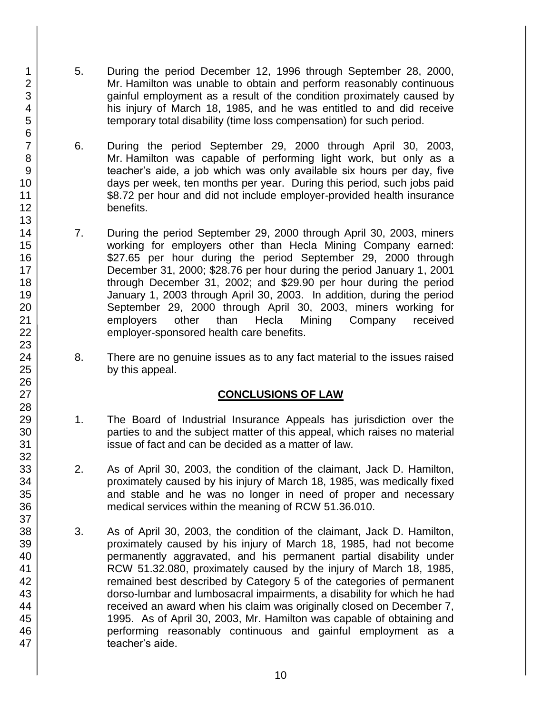- 5. During the period December 12, 1996 through September 28, 2000, Mr. Hamilton was unable to obtain and perform reasonably continuous gainful employment as a result of the condition proximately caused by his injury of March 18, 1985, and he was entitled to and did receive temporary total disability (time loss compensation) for such period.
- 6. During the period September 29, 2000 through April 30, 2003, Mr. Hamilton was capable of performing light work, but only as a teacher's aide, a job which was only available six hours per day, five days per week, ten months per year. During this period, such jobs paid \$8.72 per hour and did not include employer-provided health insurance benefits.
- 7. During the period September 29, 2000 through April 30, 2003, miners working for employers other than Hecla Mining Company earned: \$27.65 per hour during the period September 29, 2000 through December 31, 2000; \$28.76 per hour during the period January 1, 2001 through December 31, 2002; and \$29.90 per hour during the period January 1, 2003 through April 30, 2003. In addition, during the period September 29, 2000 through April 30, 2003, miners working for employers other than Hecla Mining Company received employer-sponsored health care benefits.
- 8. There are no genuine issues as to any fact material to the issues raised by this appeal.

# **CONCLUSIONS OF LAW**

- 1. The Board of Industrial Insurance Appeals has jurisdiction over the parties to and the subject matter of this appeal, which raises no material issue of fact and can be decided as a matter of law.
- 2. As of April 30, 2003, the condition of the claimant, Jack D. Hamilton, proximately caused by his injury of March 18, 1985, was medically fixed and stable and he was no longer in need of proper and necessary medical services within the meaning of RCW 51.36.010.
- 3. As of April 30, 2003, the condition of the claimant, Jack D. Hamilton, proximately caused by his injury of March 18, 1985, had not become permanently aggravated, and his permanent partial disability under RCW 51.32.080, proximately caused by the injury of March 18, 1985, remained best described by Category 5 of the categories of permanent dorso-lumbar and lumbosacral impairments, a disability for which he had received an award when his claim was originally closed on December 7, 1995. As of April 30, 2003, Mr. Hamilton was capable of obtaining and performing reasonably continuous and gainful employment as a teacher's aide.